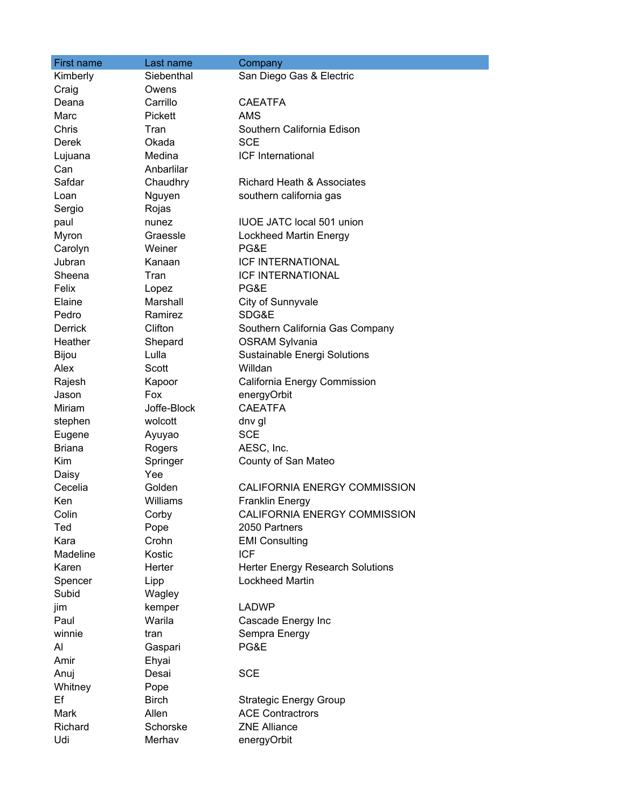| San Diego Gas & Electric<br>Siebenthal<br>Kimberly<br>Craig<br>Owens<br>Carrillo<br>Deana<br><b>CAEATFA</b><br>Marc<br>Pickett<br><b>AMS</b><br>Chris<br>Southern California Edison<br>Tran<br>Okada<br><b>SCE</b><br>Derek<br><b>ICF</b> International<br>Lujuana<br>Medina<br>Can<br>Anbarlilar<br>Safdar<br>Chaudhry<br><b>Richard Heath &amp; Associates</b><br>Nguyen<br>southern california gas<br>Loan<br>Rojas<br>Sergio<br><b>IUOE JATC local 501 union</b><br>paul<br>nunez<br>Myron<br>Lockheed Martin Energy<br>Graessle<br>Carolyn<br>Weiner<br>PG&E<br>Jubran<br>Kanaan<br><b>ICF INTERNATIONAL</b><br>Sheena<br><b>ICF INTERNATIONAL</b><br>Tran<br>Felix<br>PG&E<br>Lopez<br>Elaine<br>Marshall<br>City of Sunnyvale<br>SDG&E<br>Pedro<br>Ramirez<br>Clifton<br><b>Derrick</b><br>Southern California Gas Company<br><b>OSRAM Sylvania</b><br>Heather<br>Shepard<br>Lulla<br><b>Bijou</b><br>Sustainable Energi Solutions<br>Willdan<br>Alex<br>Scott<br>Kapoor<br>Rajesh<br>California Energy Commission<br><b>Fox</b><br>energyOrbit<br>Jason<br>Joffe-Block<br><b>CAEATFA</b><br>Miriam<br>wolcott<br>stephen<br>dnv gl<br><b>SCE</b><br>Eugene<br>Ayuyao<br><b>Briana</b><br>AESC, Inc.<br>Rogers<br>Kim<br>Springer<br>County of San Mateo<br>Daisy<br>Yee<br>Cecelia<br>Golden<br>CALIFORNIA ENERGY COMMISSION<br>Williams<br><b>Franklin Energy</b><br>Ken<br>CALIFORNIA ENERGY COMMISSION<br>Colin<br>Corby<br>Ted<br>Pope<br>2050 Partners<br>Crohn<br>Kara<br><b>EMI Consulting</b><br>Kostic<br><b>ICF</b><br>Madeline<br>Karen<br>Herter<br>Herter Energy Research Solutions<br>Lockheed Martin<br>Spencer<br>Lipp<br>Subid<br>Wagley<br><b>LADWP</b><br>kemper<br>jim<br>Warila<br>Paul<br>Cascade Energy Inc<br>winnie<br>Sempra Energy<br>tran<br>PG&E<br>Al<br>Gaspari<br>Amir<br>Ehyai<br><b>SCE</b><br>Desai<br>Anuj | First name | Last name | Company |
|--------------------------------------------------------------------------------------------------------------------------------------------------------------------------------------------------------------------------------------------------------------------------------------------------------------------------------------------------------------------------------------------------------------------------------------------------------------------------------------------------------------------------------------------------------------------------------------------------------------------------------------------------------------------------------------------------------------------------------------------------------------------------------------------------------------------------------------------------------------------------------------------------------------------------------------------------------------------------------------------------------------------------------------------------------------------------------------------------------------------------------------------------------------------------------------------------------------------------------------------------------------------------------------------------------------------------------------------------------------------------------------------------------------------------------------------------------------------------------------------------------------------------------------------------------------------------------------------------------------------------------------------------------------------------------------------------------------------------------------------------------------------------------------------------------------------------------------------------------|------------|-----------|---------|
|                                                                                                                                                                                                                                                                                                                                                                                                                                                                                                                                                                                                                                                                                                                                                                                                                                                                                                                                                                                                                                                                                                                                                                                                                                                                                                                                                                                                                                                                                                                                                                                                                                                                                                                                                                                                                                                        |            |           |         |
|                                                                                                                                                                                                                                                                                                                                                                                                                                                                                                                                                                                                                                                                                                                                                                                                                                                                                                                                                                                                                                                                                                                                                                                                                                                                                                                                                                                                                                                                                                                                                                                                                                                                                                                                                                                                                                                        |            |           |         |
|                                                                                                                                                                                                                                                                                                                                                                                                                                                                                                                                                                                                                                                                                                                                                                                                                                                                                                                                                                                                                                                                                                                                                                                                                                                                                                                                                                                                                                                                                                                                                                                                                                                                                                                                                                                                                                                        |            |           |         |
|                                                                                                                                                                                                                                                                                                                                                                                                                                                                                                                                                                                                                                                                                                                                                                                                                                                                                                                                                                                                                                                                                                                                                                                                                                                                                                                                                                                                                                                                                                                                                                                                                                                                                                                                                                                                                                                        |            |           |         |
|                                                                                                                                                                                                                                                                                                                                                                                                                                                                                                                                                                                                                                                                                                                                                                                                                                                                                                                                                                                                                                                                                                                                                                                                                                                                                                                                                                                                                                                                                                                                                                                                                                                                                                                                                                                                                                                        |            |           |         |
|                                                                                                                                                                                                                                                                                                                                                                                                                                                                                                                                                                                                                                                                                                                                                                                                                                                                                                                                                                                                                                                                                                                                                                                                                                                                                                                                                                                                                                                                                                                                                                                                                                                                                                                                                                                                                                                        |            |           |         |
|                                                                                                                                                                                                                                                                                                                                                                                                                                                                                                                                                                                                                                                                                                                                                                                                                                                                                                                                                                                                                                                                                                                                                                                                                                                                                                                                                                                                                                                                                                                                                                                                                                                                                                                                                                                                                                                        |            |           |         |
|                                                                                                                                                                                                                                                                                                                                                                                                                                                                                                                                                                                                                                                                                                                                                                                                                                                                                                                                                                                                                                                                                                                                                                                                                                                                                                                                                                                                                                                                                                                                                                                                                                                                                                                                                                                                                                                        |            |           |         |
|                                                                                                                                                                                                                                                                                                                                                                                                                                                                                                                                                                                                                                                                                                                                                                                                                                                                                                                                                                                                                                                                                                                                                                                                                                                                                                                                                                                                                                                                                                                                                                                                                                                                                                                                                                                                                                                        |            |           |         |
|                                                                                                                                                                                                                                                                                                                                                                                                                                                                                                                                                                                                                                                                                                                                                                                                                                                                                                                                                                                                                                                                                                                                                                                                                                                                                                                                                                                                                                                                                                                                                                                                                                                                                                                                                                                                                                                        |            |           |         |
|                                                                                                                                                                                                                                                                                                                                                                                                                                                                                                                                                                                                                                                                                                                                                                                                                                                                                                                                                                                                                                                                                                                                                                                                                                                                                                                                                                                                                                                                                                                                                                                                                                                                                                                                                                                                                                                        |            |           |         |
|                                                                                                                                                                                                                                                                                                                                                                                                                                                                                                                                                                                                                                                                                                                                                                                                                                                                                                                                                                                                                                                                                                                                                                                                                                                                                                                                                                                                                                                                                                                                                                                                                                                                                                                                                                                                                                                        |            |           |         |
|                                                                                                                                                                                                                                                                                                                                                                                                                                                                                                                                                                                                                                                                                                                                                                                                                                                                                                                                                                                                                                                                                                                                                                                                                                                                                                                                                                                                                                                                                                                                                                                                                                                                                                                                                                                                                                                        |            |           |         |
|                                                                                                                                                                                                                                                                                                                                                                                                                                                                                                                                                                                                                                                                                                                                                                                                                                                                                                                                                                                                                                                                                                                                                                                                                                                                                                                                                                                                                                                                                                                                                                                                                                                                                                                                                                                                                                                        |            |           |         |
|                                                                                                                                                                                                                                                                                                                                                                                                                                                                                                                                                                                                                                                                                                                                                                                                                                                                                                                                                                                                                                                                                                                                                                                                                                                                                                                                                                                                                                                                                                                                                                                                                                                                                                                                                                                                                                                        |            |           |         |
|                                                                                                                                                                                                                                                                                                                                                                                                                                                                                                                                                                                                                                                                                                                                                                                                                                                                                                                                                                                                                                                                                                                                                                                                                                                                                                                                                                                                                                                                                                                                                                                                                                                                                                                                                                                                                                                        |            |           |         |
|                                                                                                                                                                                                                                                                                                                                                                                                                                                                                                                                                                                                                                                                                                                                                                                                                                                                                                                                                                                                                                                                                                                                                                                                                                                                                                                                                                                                                                                                                                                                                                                                                                                                                                                                                                                                                                                        |            |           |         |
|                                                                                                                                                                                                                                                                                                                                                                                                                                                                                                                                                                                                                                                                                                                                                                                                                                                                                                                                                                                                                                                                                                                                                                                                                                                                                                                                                                                                                                                                                                                                                                                                                                                                                                                                                                                                                                                        |            |           |         |
|                                                                                                                                                                                                                                                                                                                                                                                                                                                                                                                                                                                                                                                                                                                                                                                                                                                                                                                                                                                                                                                                                                                                                                                                                                                                                                                                                                                                                                                                                                                                                                                                                                                                                                                                                                                                                                                        |            |           |         |
|                                                                                                                                                                                                                                                                                                                                                                                                                                                                                                                                                                                                                                                                                                                                                                                                                                                                                                                                                                                                                                                                                                                                                                                                                                                                                                                                                                                                                                                                                                                                                                                                                                                                                                                                                                                                                                                        |            |           |         |
|                                                                                                                                                                                                                                                                                                                                                                                                                                                                                                                                                                                                                                                                                                                                                                                                                                                                                                                                                                                                                                                                                                                                                                                                                                                                                                                                                                                                                                                                                                                                                                                                                                                                                                                                                                                                                                                        |            |           |         |
|                                                                                                                                                                                                                                                                                                                                                                                                                                                                                                                                                                                                                                                                                                                                                                                                                                                                                                                                                                                                                                                                                                                                                                                                                                                                                                                                                                                                                                                                                                                                                                                                                                                                                                                                                                                                                                                        |            |           |         |
|                                                                                                                                                                                                                                                                                                                                                                                                                                                                                                                                                                                                                                                                                                                                                                                                                                                                                                                                                                                                                                                                                                                                                                                                                                                                                                                                                                                                                                                                                                                                                                                                                                                                                                                                                                                                                                                        |            |           |         |
|                                                                                                                                                                                                                                                                                                                                                                                                                                                                                                                                                                                                                                                                                                                                                                                                                                                                                                                                                                                                                                                                                                                                                                                                                                                                                                                                                                                                                                                                                                                                                                                                                                                                                                                                                                                                                                                        |            |           |         |
|                                                                                                                                                                                                                                                                                                                                                                                                                                                                                                                                                                                                                                                                                                                                                                                                                                                                                                                                                                                                                                                                                                                                                                                                                                                                                                                                                                                                                                                                                                                                                                                                                                                                                                                                                                                                                                                        |            |           |         |
|                                                                                                                                                                                                                                                                                                                                                                                                                                                                                                                                                                                                                                                                                                                                                                                                                                                                                                                                                                                                                                                                                                                                                                                                                                                                                                                                                                                                                                                                                                                                                                                                                                                                                                                                                                                                                                                        |            |           |         |
|                                                                                                                                                                                                                                                                                                                                                                                                                                                                                                                                                                                                                                                                                                                                                                                                                                                                                                                                                                                                                                                                                                                                                                                                                                                                                                                                                                                                                                                                                                                                                                                                                                                                                                                                                                                                                                                        |            |           |         |
|                                                                                                                                                                                                                                                                                                                                                                                                                                                                                                                                                                                                                                                                                                                                                                                                                                                                                                                                                                                                                                                                                                                                                                                                                                                                                                                                                                                                                                                                                                                                                                                                                                                                                                                                                                                                                                                        |            |           |         |
|                                                                                                                                                                                                                                                                                                                                                                                                                                                                                                                                                                                                                                                                                                                                                                                                                                                                                                                                                                                                                                                                                                                                                                                                                                                                                                                                                                                                                                                                                                                                                                                                                                                                                                                                                                                                                                                        |            |           |         |
|                                                                                                                                                                                                                                                                                                                                                                                                                                                                                                                                                                                                                                                                                                                                                                                                                                                                                                                                                                                                                                                                                                                                                                                                                                                                                                                                                                                                                                                                                                                                                                                                                                                                                                                                                                                                                                                        |            |           |         |
|                                                                                                                                                                                                                                                                                                                                                                                                                                                                                                                                                                                                                                                                                                                                                                                                                                                                                                                                                                                                                                                                                                                                                                                                                                                                                                                                                                                                                                                                                                                                                                                                                                                                                                                                                                                                                                                        |            |           |         |
|                                                                                                                                                                                                                                                                                                                                                                                                                                                                                                                                                                                                                                                                                                                                                                                                                                                                                                                                                                                                                                                                                                                                                                                                                                                                                                                                                                                                                                                                                                                                                                                                                                                                                                                                                                                                                                                        |            |           |         |
|                                                                                                                                                                                                                                                                                                                                                                                                                                                                                                                                                                                                                                                                                                                                                                                                                                                                                                                                                                                                                                                                                                                                                                                                                                                                                                                                                                                                                                                                                                                                                                                                                                                                                                                                                                                                                                                        |            |           |         |
|                                                                                                                                                                                                                                                                                                                                                                                                                                                                                                                                                                                                                                                                                                                                                                                                                                                                                                                                                                                                                                                                                                                                                                                                                                                                                                                                                                                                                                                                                                                                                                                                                                                                                                                                                                                                                                                        |            |           |         |
|                                                                                                                                                                                                                                                                                                                                                                                                                                                                                                                                                                                                                                                                                                                                                                                                                                                                                                                                                                                                                                                                                                                                                                                                                                                                                                                                                                                                                                                                                                                                                                                                                                                                                                                                                                                                                                                        |            |           |         |
|                                                                                                                                                                                                                                                                                                                                                                                                                                                                                                                                                                                                                                                                                                                                                                                                                                                                                                                                                                                                                                                                                                                                                                                                                                                                                                                                                                                                                                                                                                                                                                                                                                                                                                                                                                                                                                                        |            |           |         |
|                                                                                                                                                                                                                                                                                                                                                                                                                                                                                                                                                                                                                                                                                                                                                                                                                                                                                                                                                                                                                                                                                                                                                                                                                                                                                                                                                                                                                                                                                                                                                                                                                                                                                                                                                                                                                                                        |            |           |         |
|                                                                                                                                                                                                                                                                                                                                                                                                                                                                                                                                                                                                                                                                                                                                                                                                                                                                                                                                                                                                                                                                                                                                                                                                                                                                                                                                                                                                                                                                                                                                                                                                                                                                                                                                                                                                                                                        |            |           |         |
|                                                                                                                                                                                                                                                                                                                                                                                                                                                                                                                                                                                                                                                                                                                                                                                                                                                                                                                                                                                                                                                                                                                                                                                                                                                                                                                                                                                                                                                                                                                                                                                                                                                                                                                                                                                                                                                        |            |           |         |
|                                                                                                                                                                                                                                                                                                                                                                                                                                                                                                                                                                                                                                                                                                                                                                                                                                                                                                                                                                                                                                                                                                                                                                                                                                                                                                                                                                                                                                                                                                                                                                                                                                                                                                                                                                                                                                                        |            |           |         |
|                                                                                                                                                                                                                                                                                                                                                                                                                                                                                                                                                                                                                                                                                                                                                                                                                                                                                                                                                                                                                                                                                                                                                                                                                                                                                                                                                                                                                                                                                                                                                                                                                                                                                                                                                                                                                                                        |            |           |         |
|                                                                                                                                                                                                                                                                                                                                                                                                                                                                                                                                                                                                                                                                                                                                                                                                                                                                                                                                                                                                                                                                                                                                                                                                                                                                                                                                                                                                                                                                                                                                                                                                                                                                                                                                                                                                                                                        |            |           |         |
|                                                                                                                                                                                                                                                                                                                                                                                                                                                                                                                                                                                                                                                                                                                                                                                                                                                                                                                                                                                                                                                                                                                                                                                                                                                                                                                                                                                                                                                                                                                                                                                                                                                                                                                                                                                                                                                        |            |           |         |
|                                                                                                                                                                                                                                                                                                                                                                                                                                                                                                                                                                                                                                                                                                                                                                                                                                                                                                                                                                                                                                                                                                                                                                                                                                                                                                                                                                                                                                                                                                                                                                                                                                                                                                                                                                                                                                                        |            |           |         |
|                                                                                                                                                                                                                                                                                                                                                                                                                                                                                                                                                                                                                                                                                                                                                                                                                                                                                                                                                                                                                                                                                                                                                                                                                                                                                                                                                                                                                                                                                                                                                                                                                                                                                                                                                                                                                                                        |            |           |         |
|                                                                                                                                                                                                                                                                                                                                                                                                                                                                                                                                                                                                                                                                                                                                                                                                                                                                                                                                                                                                                                                                                                                                                                                                                                                                                                                                                                                                                                                                                                                                                                                                                                                                                                                                                                                                                                                        | Whitney    | Pope      |         |
| Ef<br><b>Birch</b><br><b>Strategic Energy Group</b>                                                                                                                                                                                                                                                                                                                                                                                                                                                                                                                                                                                                                                                                                                                                                                                                                                                                                                                                                                                                                                                                                                                                                                                                                                                                                                                                                                                                                                                                                                                                                                                                                                                                                                                                                                                                    |            |           |         |
| Mark<br>Allen<br><b>ACE Contractrors</b>                                                                                                                                                                                                                                                                                                                                                                                                                                                                                                                                                                                                                                                                                                                                                                                                                                                                                                                                                                                                                                                                                                                                                                                                                                                                                                                                                                                                                                                                                                                                                                                                                                                                                                                                                                                                               |            |           |         |
| Schorske<br><b>ZNE Alliance</b><br>Richard                                                                                                                                                                                                                                                                                                                                                                                                                                                                                                                                                                                                                                                                                                                                                                                                                                                                                                                                                                                                                                                                                                                                                                                                                                                                                                                                                                                                                                                                                                                                                                                                                                                                                                                                                                                                             |            |           |         |
| Udi<br>Merhav<br>energyOrbit                                                                                                                                                                                                                                                                                                                                                                                                                                                                                                                                                                                                                                                                                                                                                                                                                                                                                                                                                                                                                                                                                                                                                                                                                                                                                                                                                                                                                                                                                                                                                                                                                                                                                                                                                                                                                           |            |           |         |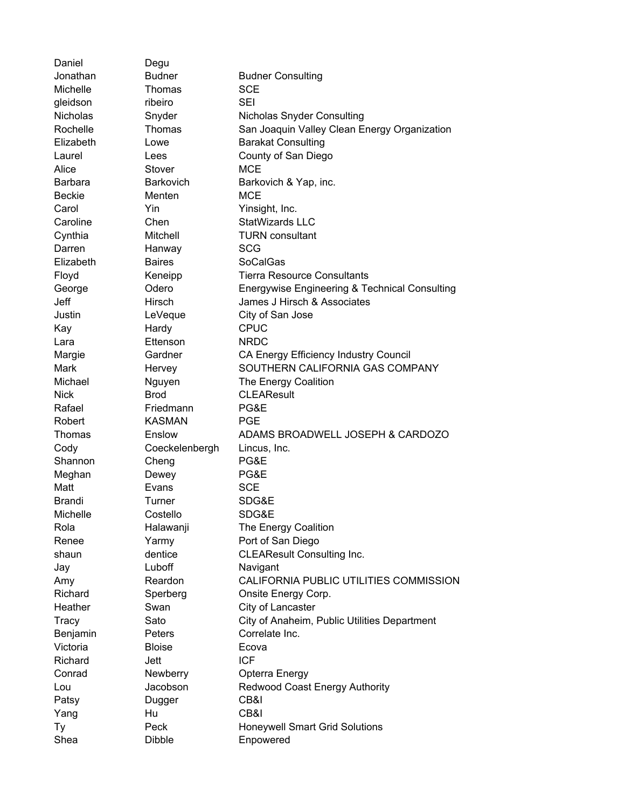| Daniel          | Degu             |                                               |
|-----------------|------------------|-----------------------------------------------|
| Jonathan        | <b>Budner</b>    | <b>Budner Consulting</b>                      |
| Michelle        | Thomas           | <b>SCE</b>                                    |
| gleidson        | ribeiro          | <b>SEI</b>                                    |
| <b>Nicholas</b> | Snyder           | Nicholas Snyder Consulting                    |
| Rochelle        | Thomas           | San Joaquin Valley Clean Energy Organization  |
| Elizabeth       | Lowe             | <b>Barakat Consulting</b>                     |
| Laurel          | Lees             | County of San Diego                           |
| Alice           | Stover           | <b>MCE</b>                                    |
| <b>Barbara</b>  | <b>Barkovich</b> | Barkovich & Yap, inc.                         |
| <b>Beckie</b>   | Menten           | <b>MCE</b>                                    |
| Carol           | Yin              | Yinsight, Inc.                                |
| Caroline        | Chen             | <b>StatWizards LLC</b>                        |
| Cynthia         | Mitchell         | <b>TURN</b> consultant                        |
| Darren          | Hanway           | <b>SCG</b>                                    |
| Elizabeth       | <b>Baires</b>    | <b>SoCalGas</b>                               |
| Floyd           | Keneipp          | <b>Tierra Resource Consultants</b>            |
| George          | Odero            | Energywise Engineering & Technical Consulting |
| Jeff            | Hirsch           | James J Hirsch & Associates                   |
| Justin          | LeVeque          | City of San Jose                              |
| Kay             | Hardy            | <b>CPUC</b>                                   |
| Lara            | Ettenson         | <b>NRDC</b>                                   |
| Margie          | Gardner          | CA Energy Efficiency Industry Council         |
| Mark            | Hervey           | SOUTHERN CALIFORNIA GAS COMPANY               |
| Michael         | Nguyen           | The Energy Coalition                          |
| <b>Nick</b>     | <b>Brod</b>      | <b>CLEAResult</b>                             |
| Rafael          | Friedmann        | PG&E                                          |
| Robert          | <b>KASMAN</b>    | <b>PGE</b>                                    |
| Thomas          | Enslow           | ADAMS BROADWELL JOSEPH & CARDOZO              |
| Cody            | Coeckelenbergh   | Lincus, Inc.                                  |
| Shannon         | Cheng            | PG&E                                          |
| Meghan          | Dewey            | PG&E                                          |
| Matt            | Evans            | <b>SCE</b>                                    |
| <b>Brandi</b>   | Turner           | SDG&E                                         |
| Michelle        | Costello         | SDG&E                                         |
| Rola            | Halawanji        | The Energy Coalition                          |
| Renee           | Yarmy            | Port of San Diego                             |
| shaun           | dentice          | <b>CLEAResult Consulting Inc.</b>             |
| Jay             | Luboff           | Navigant                                      |
| Amy             | Reardon          | CALIFORNIA PUBLIC UTILITIES COMMISSION        |
| Richard         | Sperberg         | Onsite Energy Corp.                           |
| Heather         | Swan             | City of Lancaster                             |
| Tracy           | Sato             | City of Anaheim, Public Utilities Department  |
| Benjamin        | Peters           | Correlate Inc.                                |
| Victoria        | <b>Bloise</b>    | Ecova                                         |
| Richard         | Jett             | <b>ICF</b>                                    |
| Conrad          | Newberry         | Opterra Energy                                |
| Lou             | Jacobson         | Redwood Coast Energy Authority                |
| Patsy           | Dugger           | CB&I                                          |
| Yang            | Hu               | CB&I                                          |
|                 |                  |                                               |
| Ty              | Peck             | <b>Honeywell Smart Grid Solutions</b>         |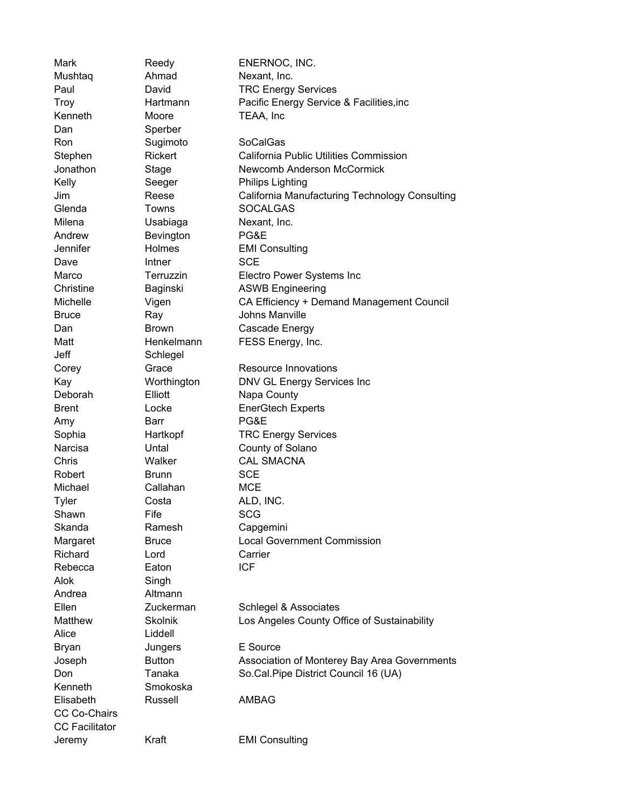Mark Reedy ENERNOC, INC. Mushtaq Ahmad Nexant, Inc. Paul David TRC Energy Services Troy **Hartmann** Pacific Energy Service & Facilities, inc Kenneth Moore TEAA, Inc Dan Sperber Ron Sugimoto SoCalGas Stephen Rickert California Public Utilities Commission Jonathon Stage Newcomb Anderson McCormick Kelly Seeger Philips Lighting Jim Reese California Manufacturing Technology Consulting Glenda **Towns** SOCALGAS Milena Usabiaga Nexant, Inc. Andrew Bevington PG&E Jennifer Holmes EMI Consulting Dave Intner SCE Marco Terruzzin Electro Power Systems Inc Christine Baginski ASWB Engineering Michelle Vigen CA Efficiency + Demand Management Council Bruce Ray Ray Johns Manville Dan Brown Cascade Energy Matt Henkelmann FESS Energy, Inc. Jeff Schlegel Corey Grace Resource Innovations Kay Worthington DNV GL Energy Services Inc Deborah **Elliott** Napa County Brent Locke EnerGtech Experts Amy Barr **Bandal** PG&E Sophia **Hartkopf** TRC Energy Services Narcisa **Untal** County of Solano Chris Walker CAL SMACNA Robert Brunn SCE Michael Callahan MCE Tyler Costa ALD, INC. Shawn Fife SCG Skanda Ramesh Capgemini Margaret Bruce **Example 20** Local Government Commission Richard Lord Carrier Rebecca Eaton ICF Alok Singh Andrea Altmann Ellen **Zuckerman** Schlegel & Associates Matthew Skolnik Los Angeles County Office of Sustainability Alice Liddell Bryan Jungers E Source Joseph Button Association of Monterey Bay Area Governments Don Tanaka So.Cal.Pipe District Council 16 (UA) Kenneth Smokoska Elisabeth Russell AMBAG CC Co-Chairs CC Facilitator Jeremy **Kraft** EMI Consulting